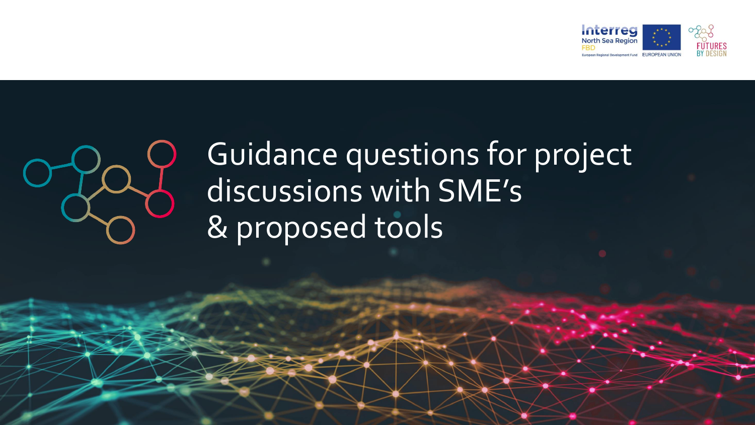



# Guidance questions for project discussions with SME's & proposed tools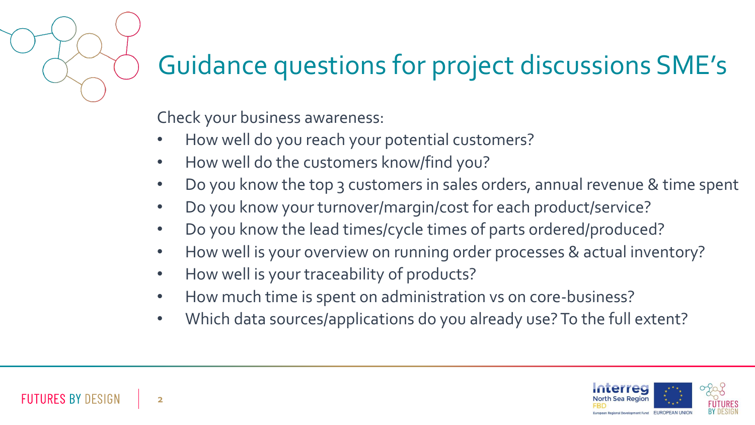#### Guidance questions for project discussions SME's

Check your business awareness:

- How well do you reach your potential customers?
- How well do the customers know/find you?
- Do you know the top 3 customers in sales orders, annual revenue & time spent
- Do you know your turnover/margin/cost for each product/service?
- Do you know the lead times/cycle times of parts ordered/produced?
- How well is your overview on running order processes & actual inventory?
- How well is your traceability of products?
- How much time is spent on administration vs on core-business?
- Which data sources/applications do you already use? To the full extent?

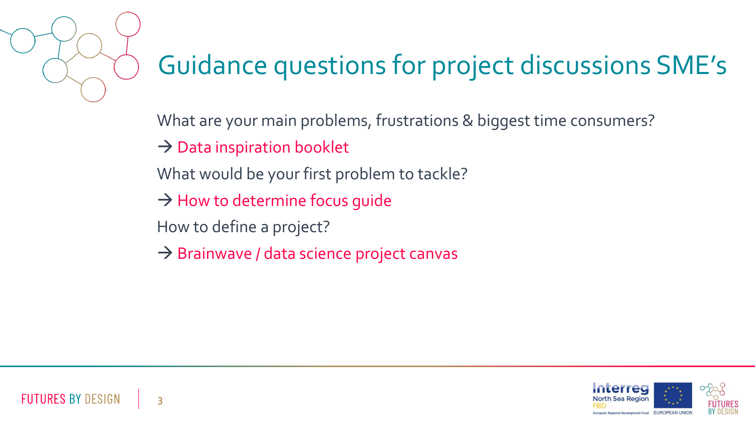

# Guidance questions for project discussions SME's

What are your main problems, frustrations & biggest time consumers?

 $\rightarrow$  Data inspiration booklet

- What would be your first problem to tackle?
- $\rightarrow$  How to determine focus quide
- How to define a project?
- $\rightarrow$  Brainwave / data science project canvas

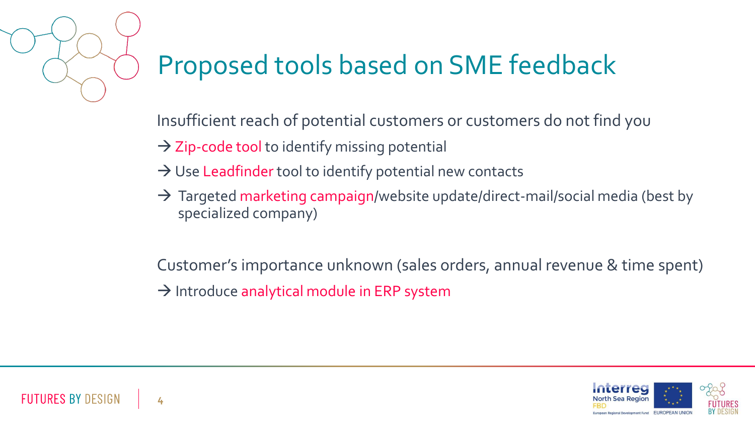

Insufficient reach of potential customers or customers do not find you

- $\rightarrow$  Zip-code tool to identify missing potential
- $\rightarrow$  Use Leadfinder tool to identify potential new contacts
- $\rightarrow$  Targeted marketing campaign/website update/direct-mail/social media (best by specialized company)

Customer's importance unknown (sales orders, annual revenue & time spent)  $\rightarrow$  Introduce analytical module in ERP system

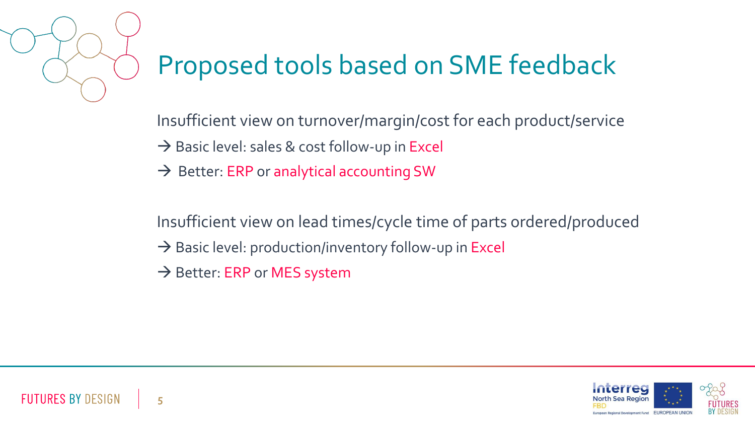

Insufficient view on turnover/margin/cost for each product/service

- → Basic level: sales & cost follow-up in Excel
- $\rightarrow$  Better: ERP or analytical accounting SW

Insufficient view on lead times/cycle time of parts ordered/produced

- $\rightarrow$  Basic level: production/inventory follow-up in Excel
- $\rightarrow$  Better: ERP or MES system

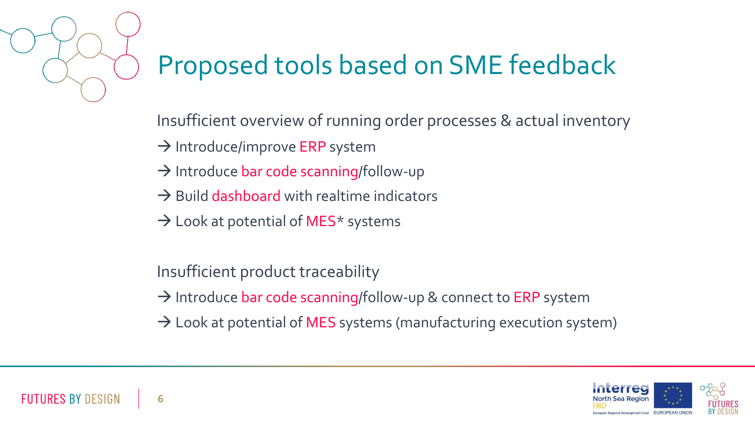

Insufficient overview of running order processes & actual inventory

 $\rightarrow$  Introduce/improve ERP system

- $\rightarrow$  Introduce bar code scanning/follow-up
- $\rightarrow$  Build dashboard with realtime indicators
- $\rightarrow$  Look at potential of MES\* systems

Insufficient product traceability

- → Introduce bar code scanning/follow-up & connect to ERP system
- $\rightarrow$  Look at potential of MES systems (manufacturing execution system)